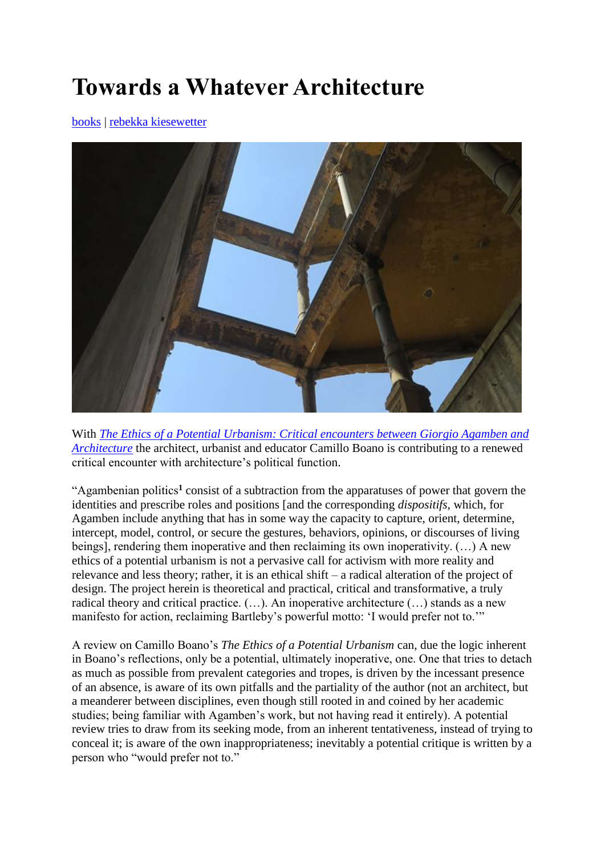# **Towards a Whatever Architecture**

## [books](http://www.zeroundicipiu.it/category/columns/books/) | [rebekka kiesewetter](http://www.zeroundicipiu.it/tag/rebekka-kiesewetter/)



With *[The Ethics of a Potential Urbanism: Critical encounters between Giorgio Agamben and](https://www.routledge.com/The-Ethics-of-a-Potential-Urbanism-Critical-encounters-between-Giorgio/Boano/p/book/9781138687707)  [Architecture](https://www.routledge.com/The-Ethics-of-a-Potential-Urbanism-Critical-encounters-between-Giorgio/Boano/p/book/9781138687707)* the architect, urbanist and educator Camillo Boano is contributing to a renewed critical encounter with architecture's political function.

"Agambenian politics**<sup>1</sup>** consist of a subtraction from the apparatuses of power that govern the identities and prescribe roles and positions [and the corresponding *dispositifs,* which, for Agamben include anything that has in some way the capacity to capture, orient, determine, intercept, model, control, or secure the gestures, behaviors, opinions, or discourses of living beings], rendering them inoperative and then reclaiming its own inoperativity. (…) A new ethics of a potential urbanism is not a pervasive call for activism with more reality and relevance and less theory; rather, it is an ethical shift – a radical alteration of the project of design. The project herein is theoretical and practical, critical and transformative, a truly radical theory and critical practice. (…). An inoperative architecture (…) stands as a new manifesto for action, reclaiming Bartleby's powerful motto: 'I would prefer not to.'"

A review on Camillo Boano's *The Ethics of a Potential Urbanism* can, due the logic inherent in Boano's reflections, only be a potential, ultimately inoperative, one. One that tries to detach as much as possible from prevalent categories and tropes, is driven by the incessant presence of an absence, is aware of its own pitfalls and the partiality of the author (not an architect, but a meanderer between disciplines, even though still rooted in and coined by her academic studies; being familiar with Agamben's work, but not having read it entirely). A potential review tries to draw from its seeking mode, from an inherent tentativeness, instead of trying to conceal it; is aware of the own inappropriateness; inevitably a potential critique is written by a person who "would prefer not to."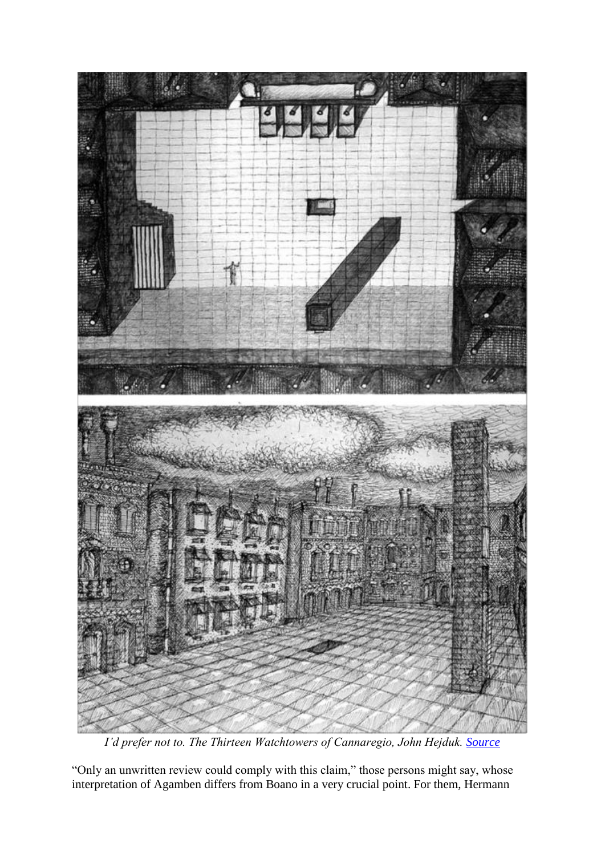

*I'd prefer not to. The Thirteen Watchtowers of Cannaregio, John Hejduk. [Source](https://eutopics.wordpress.com/2013/12/09/il-disegno-e-il-disegno/)*

"Only an unwritten review could comply with this claim," those persons might say, whose interpretation of Agamben differs from Boano in a very crucial point. For them, Hermann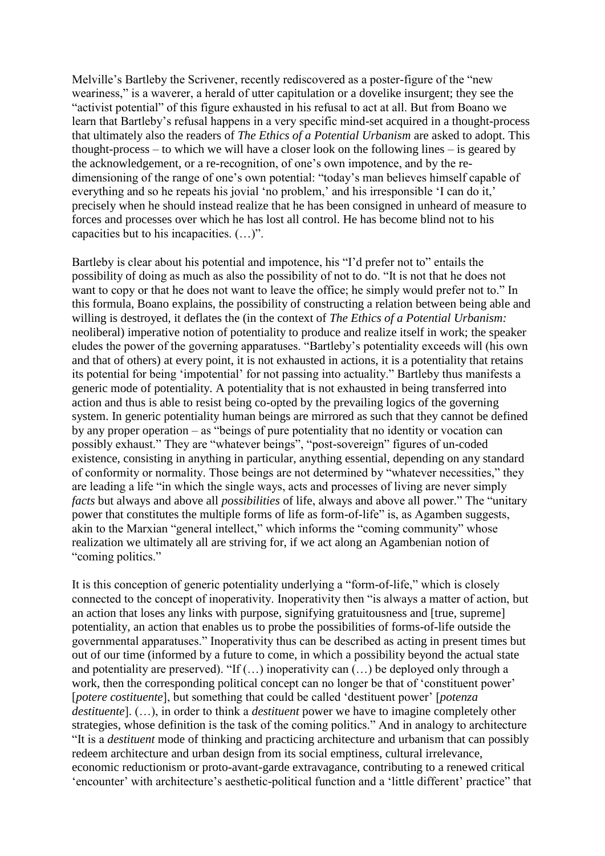Melville's Bartleby the Scrivener, recently rediscovered as a poster-figure of the "new weariness," is a waverer, a herald of utter capitulation or a dovelike insurgent; they see the "activist potential" of this figure exhausted in his refusal to act at all. But from Boano we learn that Bartleby's refusal happens in a very specific mind-set acquired in a thought-process that ultimately also the readers of *The Ethics of a Potential Urbanism* are asked to adopt. This thought-process – to which we will have a closer look on the following lines – is geared by the acknowledgement, or a re-recognition, of one's own impotence, and by the redimensioning of the range of one's own potential: "today's man believes himself capable of everything and so he repeats his jovial 'no problem,' and his irresponsible 'I can do it,' precisely when he should instead realize that he has been consigned in unheard of measure to forces and processes over which he has lost all control. He has become blind not to his capacities but to his incapacities. (…)".

Bartleby is clear about his potential and impotence, his "I'd prefer not to" entails the possibility of doing as much as also the possibility of not to do. "It is not that he does not want to copy or that he does not want to leave the office; he simply would prefer not to." In this formula, Boano explains, the possibility of constructing a relation between being able and willing is destroyed, it deflates the (in the context of *The Ethics of a Potential Urbanism:*  neoliberal) imperative notion of potentiality to produce and realize itself in work; the speaker eludes the power of the governing apparatuses. "Bartleby's potentiality exceeds will (his own and that of others) at every point, it is not exhausted in actions, it is a potentiality that retains its potential for being 'impotential' for not passing into actuality." Bartleby thus manifests a generic mode of potentiality. A potentiality that is not exhausted in being transferred into action and thus is able to resist being co-opted by the prevailing logics of the governing system. In generic potentiality human beings are mirrored as such that they cannot be defined by any proper operation – as "beings of pure potentiality that no identity or vocation can possibly exhaust." They are "whatever beings", "post-sovereign" figures of un-coded existence, consisting in anything in particular, anything essential, depending on any standard of conformity or normality. Those beings are not determined by "whatever necessities," they are leading a life "in which the single ways, acts and processes of living are never simply *facts* but always and above all *possibilities* of life, always and above all power." The "unitary power that constitutes the multiple forms of life as form-of-life" is, as Agamben suggests, akin to the Marxian "general intellect," which informs the "coming community" whose realization we ultimately all are striving for, if we act along an Agambenian notion of "coming politics."

It is this conception of generic potentiality underlying a "form-of-life," which is closely connected to the concept of inoperativity. Inoperativity then "is always a matter of action, but an action that loses any links with purpose, signifying gratuitousness and [true, supreme] potentiality, an action that enables us to probe the possibilities of forms-of-life outside the governmental apparatuses." Inoperativity thus can be described as acting in present times but out of our time (informed by a future to come, in which a possibility beyond the actual state and potentiality are preserved). "If  $(...)$  inoperativity can  $(...)$  be deployed only through a work, then the corresponding political concept can no longer be that of 'constituent power' [*potere costituente*], but something that could be called 'destituent power' [*potenza destituente*]. (…), in order to think a *destituent* power we have to imagine completely other strategies, whose definition is the task of the coming politics." And in analogy to architecture "It is a *destituent* mode of thinking and practicing architecture and urbanism that can possibly redeem architecture and urban design from its social emptiness, cultural irrelevance, economic reductionism or proto-avant-garde extravagance, contributing to a renewed critical 'encounter' with architecture's aesthetic-political function and a 'little different' practice" that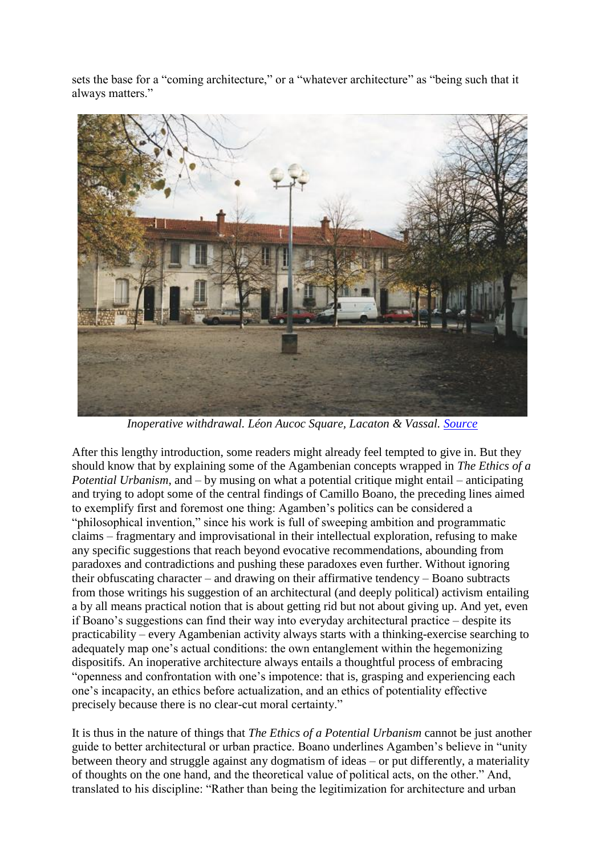sets the base for a "coming architecture," or a "whatever architecture" as "being such that it always matters."



*Inoperative withdrawal. Léon Aucoc Square, Lacaton & Vassal. [Source](https://lacatonvassal.com/index.php?idp=37)*

After this lengthy introduction, some readers might already feel tempted to give in. But they should know that by explaining some of the Agambenian concepts wrapped in *The Ethics of a Potential Urbanism*, and – by musing on what a potential critique might entail – anticipating and trying to adopt some of the central findings of Camillo Boano, the preceding lines aimed to exemplify first and foremost one thing: Agamben's politics can be considered a "philosophical invention," since his work is full of sweeping ambition and programmatic claims – fragmentary and improvisational in their intellectual exploration, refusing to make any specific suggestions that reach beyond evocative recommendations, abounding from paradoxes and contradictions and pushing these paradoxes even further. Without ignoring their obfuscating character – and drawing on their affirmative tendency – Boano subtracts from those writings his suggestion of an architectural (and deeply political) activism entailing a by all means practical notion that is about getting rid but not about giving up. And yet, even if Boano's suggestions can find their way into everyday architectural practice – despite its practicability – every Agambenian activity always starts with a thinking-exercise searching to adequately map one's actual conditions: the own entanglement within the hegemonizing dispositifs. An inoperative architecture always entails a thoughtful process of embracing "openness and confrontation with one's impotence: that is, grasping and experiencing each one's incapacity, an ethics before actualization, and an ethics of potentiality effective precisely because there is no clear-cut moral certainty."

It is thus in the nature of things that *The Ethics of a Potential Urbanism* cannot be just another guide to better architectural or urban practice. Boano underlines Agamben's believe in "unity between theory and struggle against any dogmatism of ideas – or put differently, a materiality of thoughts on the one hand, and the theoretical value of political acts, on the other." And, translated to his discipline: "Rather than being the legitimization for architecture and urban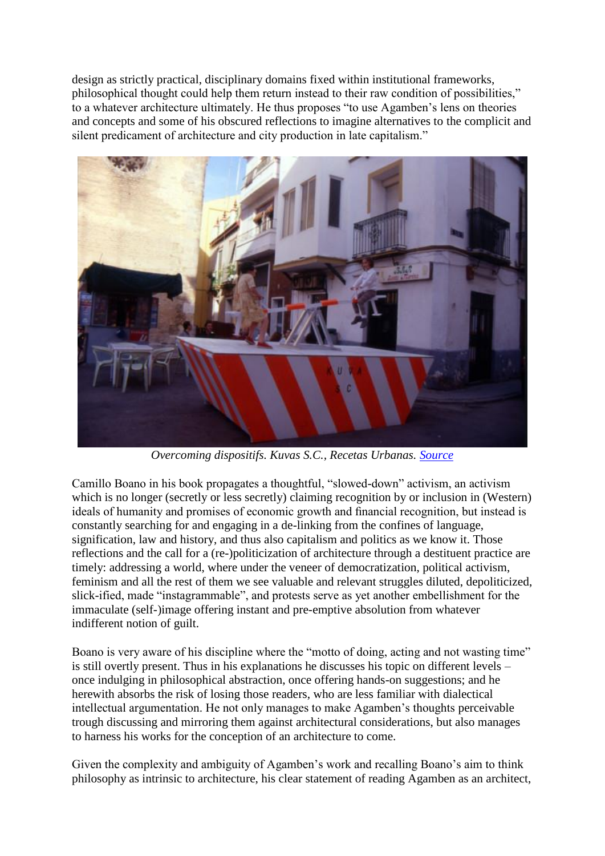design as strictly practical, disciplinary domains fixed within institutional frameworks, philosophical thought could help them return instead to their raw condition of possibilities," to a whatever architecture ultimately. He thus proposes "to use Agamben's lens on theories and concepts and some of his obscured reflections to imagine alternatives to the complicit and silent predicament of architecture and city production in late capitalism."



*Overcoming dispositifs. Kuvas S.C., Recetas Urbanas. [Source](http://www.recetasurbanas.net/index1.php?idioma=esp&REF=1&ID=0002)*

Camillo Boano in his book propagates a thoughtful, "slowed-down" activism, an activism which is no longer (secretly or less secretly) claiming recognition by or inclusion in (Western) ideals of humanity and promises of economic growth and financial recognition, but instead is constantly searching for and engaging in a de-linking from the confines of language, signification, law and history, and thus also capitalism and politics as we know it. Those reflections and the call for a (re-)politicization of architecture through a destituent practice are timely: addressing a world, where under the veneer of democratization, political activism, feminism and all the rest of them we see valuable and relevant struggles diluted, depoliticized, slick-ified, made "instagrammable", and protests serve as yet another embellishment for the immaculate (self-)image offering instant and pre-emptive absolution from whatever indifferent notion of guilt.

Boano is very aware of his discipline where the "motto of doing, acting and not wasting time" is still overtly present. Thus in his explanations he discusses his topic on different levels – once indulging in philosophical abstraction, once offering hands-on suggestions; and he herewith absorbs the risk of losing those readers, who are less familiar with dialectical intellectual argumentation. He not only manages to make Agamben's thoughts perceivable trough discussing and mirroring them against architectural considerations, but also manages to harness his works for the conception of an architecture to come.

Given the complexity and ambiguity of Agamben's work and recalling Boano's aim to think philosophy as intrinsic to architecture, his clear statement of reading Agamben as an architect,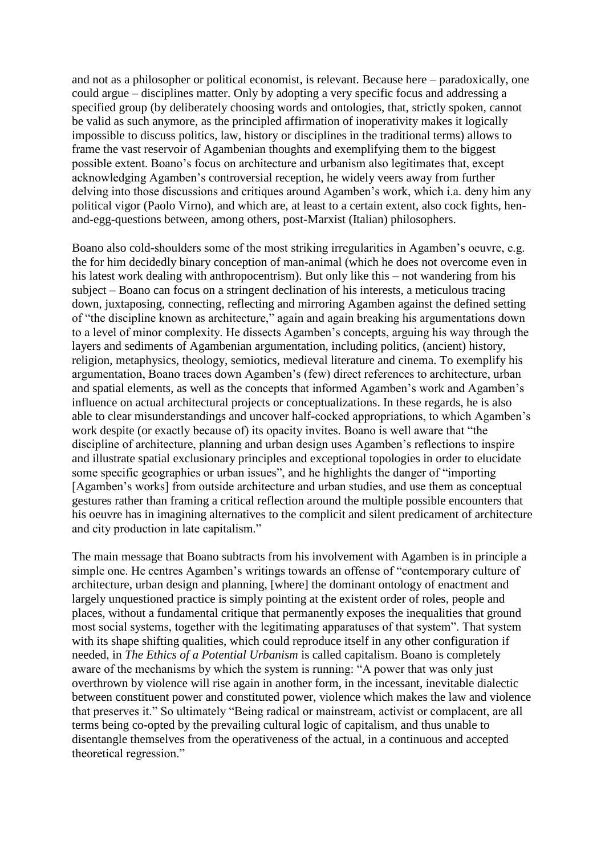and not as a philosopher or political economist, is relevant. Because here – paradoxically, one could argue – disciplines matter. Only by adopting a very specific focus and addressing a specified group (by deliberately choosing words and ontologies, that, strictly spoken, cannot be valid as such anymore, as the principled affirmation of inoperativity makes it logically impossible to discuss politics, law, history or disciplines in the traditional terms) allows to frame the vast reservoir of Agambenian thoughts and exemplifying them to the biggest possible extent. Boano's focus on architecture and urbanism also legitimates that, except acknowledging Agamben's controversial reception, he widely veers away from further delving into those discussions and critiques around Agamben's work, which i.a. deny him any political vigor (Paolo Virno), and which are, at least to a certain extent, also cock fights, henand-egg-questions between, among others, post-Marxist (Italian) philosophers.

Boano also cold-shoulders some of the most striking irregularities in Agamben's oeuvre, e.g. the for him decidedly binary conception of man-animal (which he does not overcome even in his latest work dealing with anthropocentrism). But only like this – not wandering from his subject – Boano can focus on a stringent declination of his interests, a meticulous tracing down, juxtaposing, connecting, reflecting and mirroring Agamben against the defined setting of "the discipline known as architecture," again and again breaking his argumentations down to a level of minor complexity. He dissects Agamben's concepts, arguing his way through the layers and sediments of Agambenian argumentation, including politics, (ancient) history, religion, metaphysics, theology, semiotics, medieval literature and cinema. To exemplify his argumentation, Boano traces down Agamben's (few) direct references to architecture, urban and spatial elements, as well as the concepts that informed Agamben's work and Agamben's influence on actual architectural projects or conceptualizations. In these regards, he is also able to clear misunderstandings and uncover half-cocked appropriations, to which Agamben's work despite (or exactly because of) its opacity invites. Boano is well aware that "the discipline of architecture, planning and urban design uses Agamben's reflections to inspire and illustrate spatial exclusionary principles and exceptional topologies in order to elucidate some specific geographies or urban issues", and he highlights the danger of "importing [Agamben's works] from outside architecture and urban studies, and use them as conceptual gestures rather than framing a critical reflection around the multiple possible encounters that his oeuvre has in imagining alternatives to the complicit and silent predicament of architecture and city production in late capitalism."

The main message that Boano subtracts from his involvement with Agamben is in principle a simple one. He centres Agamben's writings towards an offense of "contemporary culture of architecture, urban design and planning, [where] the dominant ontology of enactment and largely unquestioned practice is simply pointing at the existent order of roles, people and places, without a fundamental critique that permanently exposes the inequalities that ground most social systems, together with the legitimating apparatuses of that system". That system with its shape shifting qualities, which could reproduce itself in any other configuration if needed, in *The Ethics of a Potential Urbanism* is called capitalism. Boano is completely aware of the mechanisms by which the system is running: "A power that was only just overthrown by violence will rise again in another form, in the incessant, inevitable dialectic between constituent power and constituted power, violence which makes the law and violence that preserves it." So ultimately "Being radical or mainstream, activist or complacent, are all terms being co-opted by the prevailing cultural logic of capitalism, and thus unable to disentangle themselves from the operativeness of the actual, in a continuous and accepted theoretical regression."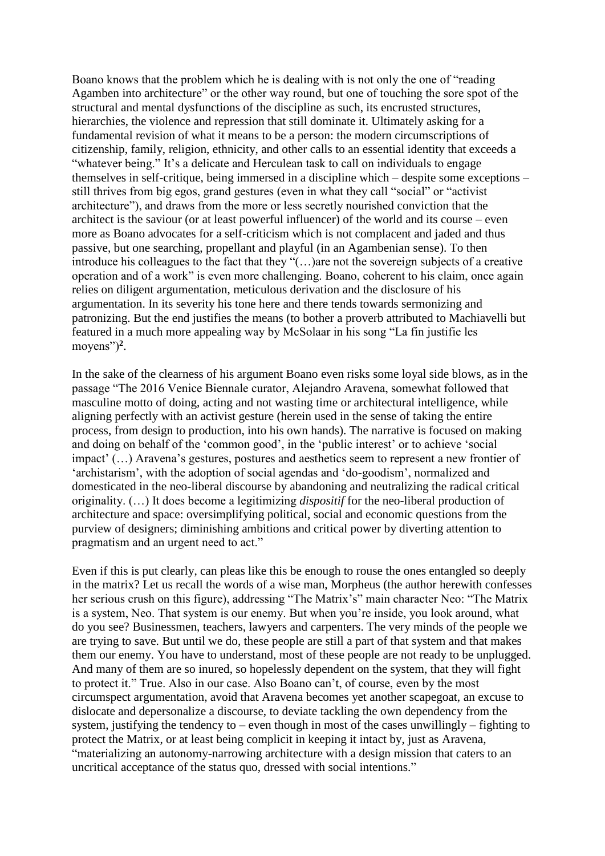Boano knows that the problem which he is dealing with is not only the one of "reading Agamben into architecture" or the other way round, but one of touching the sore spot of the structural and mental dysfunctions of the discipline as such, its encrusted structures, hierarchies, the violence and repression that still dominate it. Ultimately asking for a fundamental revision of what it means to be a person: the modern circumscriptions of citizenship, family, religion, ethnicity, and other calls to an essential identity that exceeds a "whatever being." It's a delicate and Herculean task to call on individuals to engage themselves in self-critique, being immersed in a discipline which – despite some exceptions – still thrives from big egos, grand gestures (even in what they call "social" or "activist architecture"), and draws from the more or less secretly nourished conviction that the architect is the saviour (or at least powerful influencer) of the world and its course – even more as Boano advocates for a self-criticism which is not complacent and jaded and thus passive, but one searching, propellant and playful (in an Agambenian sense). To then introduce his colleagues to the fact that they "(…)are not the sovereign subjects of a creative operation and of a work" is even more challenging. Boano, coherent to his claim, once again relies on diligent argumentation, meticulous derivation and the disclosure of his argumentation. In its severity his tone here and there tends towards sermonizing and patronizing. But the end justifies the means (to bother a proverb attributed to Machiavelli but featured in a much more appealing way by McSolaar in his song "La fin justifie les moyens")<sup>2</sup>.

In the sake of the clearness of his argument Boano even risks some loyal side blows, as in the passage "The 2016 Venice Biennale curator, Alejandro Aravena, somewhat followed that masculine motto of doing, acting and not wasting time or architectural intelligence, while aligning perfectly with an activist gesture (herein used in the sense of taking the entire process, from design to production, into his own hands). The narrative is focused on making and doing on behalf of the 'common good', in the 'public interest' or to achieve 'social impact' (…) Aravena's gestures, postures and aesthetics seem to represent a new frontier of 'archistarism', with the adoption of social agendas and 'do-goodism', normalized and domesticated in the neo-liberal discourse by abandoning and neutralizing the radical critical originality. (…) It does become a legitimizing *dispositif* for the neo-liberal production of architecture and space: oversimplifying political, social and economic questions from the purview of designers; diminishing ambitions and critical power by diverting attention to pragmatism and an urgent need to act."

Even if this is put clearly, can pleas like this be enough to rouse the ones entangled so deeply in the matrix? Let us recall the words of a wise man, Morpheus (the author herewith confesses her serious crush on this figure), addressing "The Matrix's" main character Neo: "The Matrix is a system, Neo. That system is our enemy. But when you're inside, you look around, what do you see? Businessmen, teachers, lawyers and carpenters. The very minds of the people we are trying to save. But until we do, these people are still a part of that system and that makes them our enemy. You have to understand, most of these people are not ready to be unplugged. And many of them are so inured, so hopelessly dependent on the system, that they will fight to protect it." True. Also in our case. Also Boano can't, of course, even by the most circumspect argumentation, avoid that Aravena becomes yet another scapegoat, an excuse to dislocate and depersonalize a discourse, to deviate tackling the own dependency from the system, justifying the tendency to – even though in most of the cases unwillingly – fighting to protect the Matrix, or at least being complicit in keeping it intact by, just as Aravena, "materializing an autonomy-narrowing architecture with a design mission that caters to an uncritical acceptance of the status quo, dressed with social intentions."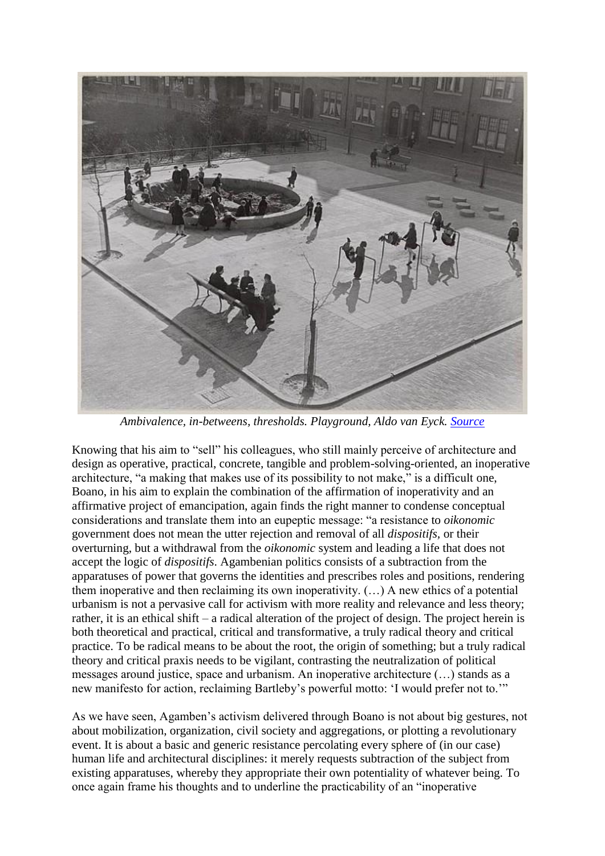

*Ambivalence, in-betweens, thresholds. Playground, Aldo van Eyck. [Source](https://merijnoudenampsen.org/2013/03/27/aldo-van-eyck-and-the-city-as-playground/)*

Knowing that his aim to "sell" his colleagues, who still mainly perceive of architecture and design as operative, practical, concrete, tangible and problem-solving-oriented, an inoperative architecture, "a making that makes use of its possibility to not make," is a difficult one, Boano, in his aim to explain the combination of the affirmation of inoperativity and an affirmative project of emancipation, again finds the right manner to condense conceptual considerations and translate them into an eupeptic message: "a resistance to *oikonomic*  government does not mean the utter rejection and removal of all *dispositifs,* or their overturning, but a withdrawal from the *oikonomic* system and leading a life that does not accept the logic of *dispositifs*. Agambenian politics consists of a subtraction from the apparatuses of power that governs the identities and prescribes roles and positions, rendering them inoperative and then reclaiming its own inoperativity. (…) A new ethics of a potential urbanism is not a pervasive call for activism with more reality and relevance and less theory; rather, it is an ethical shift – a radical alteration of the project of design. The project herein is both theoretical and practical, critical and transformative, a truly radical theory and critical practice. To be radical means to be about the root, the origin of something; but a truly radical theory and critical praxis needs to be vigilant, contrasting the neutralization of political messages around justice, space and urbanism. An inoperative architecture (…) stands as a new manifesto for action, reclaiming Bartleby's powerful motto: 'I would prefer not to.'"

As we have seen, Agamben's activism delivered through Boano is not about big gestures, not about mobilization, organization, civil society and aggregations, or plotting a revolutionary event. It is about a basic and generic resistance percolating every sphere of (in our case) human life and architectural disciplines: it merely requests subtraction of the subject from existing apparatuses, whereby they appropriate their own potentiality of whatever being. To once again frame his thoughts and to underline the practicability of an "inoperative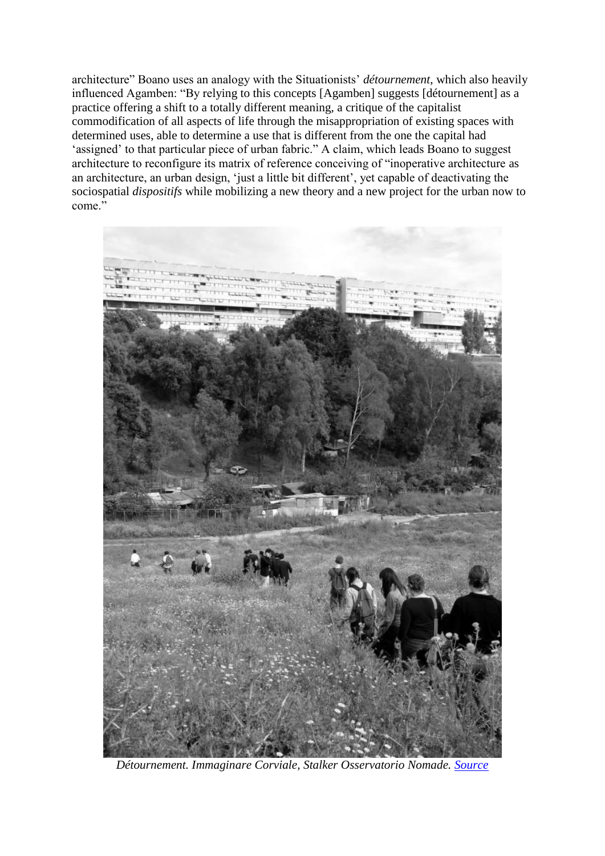architecture" Boano uses an analogy with the Situationists' *détournement*, which also heavily influenced Agamben: "By relying to this concepts [Agamben] suggests [détournement] as a practice offering a shift to a totally different meaning, a critique of the capitalist commodification of all aspects of life through the misappropriation of existing spaces with determined uses, able to determine a use that is different from the one the capital had 'assigned' to that particular piece of urban fabric." A claim, which leads Boano to suggest architecture to reconfigure its matrix of reference conceiving of "inoperative architecture as an architecture, an urban design, 'just a little bit different', yet capable of deactivating the sociospatial *dispositifs* while mobilizing a new theory and a new project for the urban now to come."



*Détournement. Immaginare Corviale, Stalker Osservatorio Nomade. [Source](http://www.roulottemagazine.com/2011/04/immaginare-corviale-osservatorio-nomade/)*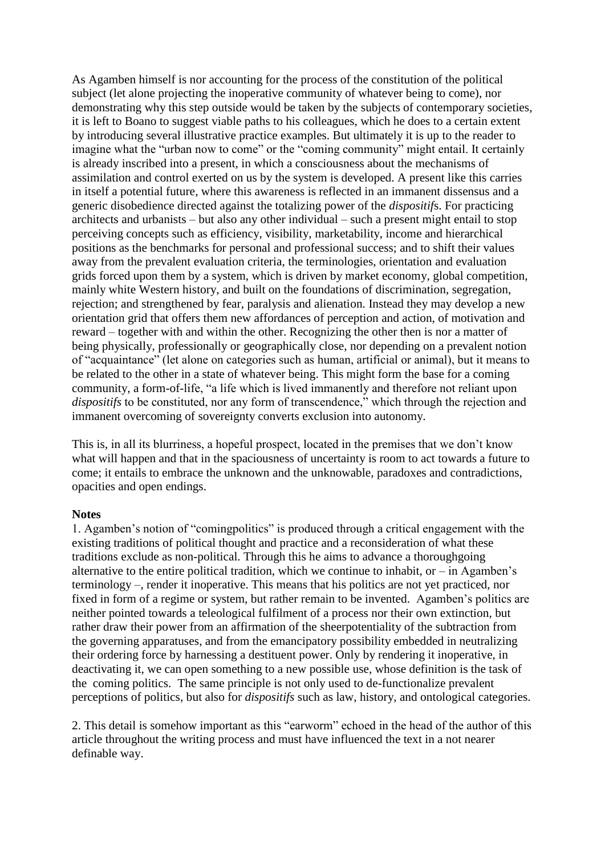As Agamben himself is nor accounting for the process of the constitution of the political subject (let alone projecting the inoperative community of whatever being to come), nor demonstrating why this step outside would be taken by the subjects of contemporary societies, it is left to Boano to suggest viable paths to his colleagues, which he does to a certain extent by introducing several illustrative practice examples. But ultimately it is up to the reader to imagine what the "urban now to come" or the "coming community" might entail. It certainly is already inscribed into a present, in which a consciousness about the mechanisms of assimilation and control exerted on us by the system is developed. A present like this carries in itself a potential future, where this awareness is reflected in an immanent dissensus and a generic disobedience directed against the totalizing power of the *dispositif*s. For practicing architects and urbanists – but also any other individual – such a present might entail to stop perceiving concepts such as efficiency, visibility, marketability, income and hierarchical positions as the benchmarks for personal and professional success; and to shift their values away from the prevalent evaluation criteria, the terminologies, orientation and evaluation grids forced upon them by a system, which is driven by market economy, global competition, mainly white Western history, and built on the foundations of discrimination, segregation, rejection; and strengthened by fear, paralysis and alienation. Instead they may develop a new orientation grid that offers them new affordances of perception and action, of motivation and reward – together with and within the other. Recognizing the other then is nor a matter of being physically, professionally or geographically close, nor depending on a prevalent notion of "acquaintance" (let alone on categories such as human, artificial or animal), but it means to be related to the other in a state of whatever being. This might form the base for a coming community, a form-of-life, "a life which is lived immanently and therefore not reliant upon *dispositifs* to be constituted, nor any form of transcendence," which through the rejection and immanent overcoming of sovereignty converts exclusion into autonomy.

This is, in all its blurriness, a hopeful prospect, located in the premises that we don't know what will happen and that in the spaciousness of uncertainty is room to act towards a future to come; it entails to embrace the unknown and the unknowable, paradoxes and contradictions, opacities and open endings.

#### **Notes**

1. Agamben's notion of "comingpolitics" is produced through a critical engagement with the existing traditions of political thought and practice and a reconsideration of what these traditions exclude as non-political. Through this he aims to advance a thoroughgoing alternative to the entire political tradition, which we continue to inhabit, or  $-$  in Agamben's terminology –, render it inoperative. This means that his politics are not yet practiced, nor fixed in form of a regime or system, but rather remain to be invented. Agamben's politics are neither pointed towards a teleological fulfilment of a process nor their own extinction, but rather draw their power from an affirmation of the sheerpotentiality of the subtraction from the governing apparatuses, and from the emancipatory possibility embedded in neutralizing their ordering force by harnessing a destituent power. Only by rendering it inoperative, in deactivating it, we can open something to a new possible use, whose definition is the task of the coming politics. The same principle is not only used to de-functionalize prevalent perceptions of politics, but also for *dispositifs* such as law, history, and ontological categories.

2. This detail is somehow important as this "earworm" echoed in the head of the author of this article throughout the writing process and must have influenced the text in a not nearer definable way.